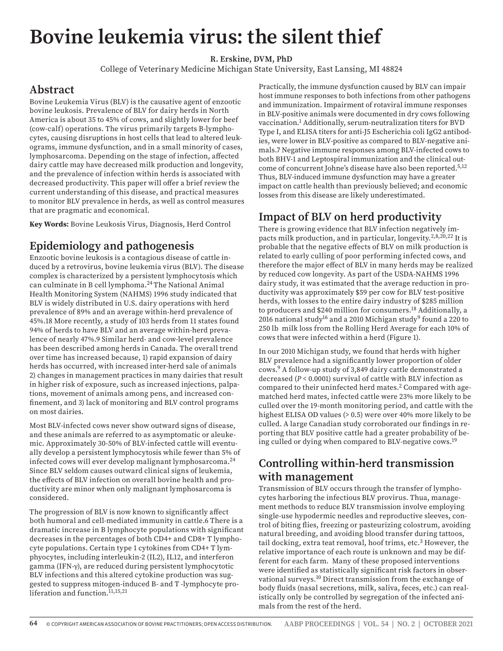# **Bovine leukemia virus: the silent thief**

**R. Erskine, DVM, PhD**

College of Veterinary Medicine Michigan State University, East Lansing, MI 48824

#### **Abstract**

Bovine Leukemia Virus (BLV) is the causative agent of enzootic bovine leukosis. Prevalence of BLV for dairy herds in North America is about 35 to 45% of cows, and slightly lower for beef (cow-calf) operations. The virus primarily targets B-lymphocytes, causing disruptions in host cells that lead to altered leukograms, immune dysfunction, and in a small minority of cases, lymphosarcoma. Depending on the stage of infection, affected dairy cattle may have decreased milk production and longevity, and the prevalence of infection within herds is associated with decreased productivity. This paper will offer a brief review the current understanding of this disease, and practical measures to monitor BLV prevalence in herds, as well as control measures that are pragmatic and economical.

**Key Words:** Bovine Leukosis Virus, Diagnosis, Herd Control

## **Epidemiology and pathogenesis**

Enzootic bovine leukosis is a contagious disease of cattle induced by a retrovirus, bovine leukemia virus (BLV). The disease complex is characterized by a persistent lymphocytosis which can culminate in B cell lymphoma.24 The National Animal Health Monitoring System (NAHMS) 1996 study indicated that BLV is widely distributed in U.S. dairy operations with herd prevalence of 89% and an average within-herd prevalence of 45%.18 More recently, a study of 103 herds from 11 states found 94% of herds to have BLV and an average within-herd prevalence of nearly 47%.9 Similar herd- and cow-level prevalence has been described among herds in Canada. The overall trend over time has increased because, 1) rapid expansion of dairy herds has occurred, with increased inter-herd sale of animals 2) changes in management practices in many dairies that result in higher risk of exposure, such as increased injections, palpations, movement of animals among pens, and increased confinement, and 3) lack of monitoring and BLV control programs on most dairies.

Most BLV-infected cows never show outward signs of disease, and these animals are referred to as asymptomatic or aleukemic. Approximately 30-50% of BLV-infected cattle will eventually develop a persistent lymphocytosis while fewer than 5% of infected cows will ever develop malignant lymphosarcoma.24 Since BLV seldom causes outward clinical signs of leukemia, the effects of BLV infection on overall bovine health and productivity are minor when only malignant lymphosarcoma is considered.

The progression of BLV is now known to significantly affect both humoral and cell-mediated immunity in cattle.6 There is a dramatic increase in B lymphocyte populations with significant decreases in the percentages of both CD4+ and CD8+ T lymphocyte populations. Certain type 1 cytokines from CD4+ T lymphyocytes, including interleukin-2 (IL2), IL12, and interferon gamma (IFN-γ), are reduced during persistent lymphocytotic BLV infections and this altered cytokine production was suggested to suppress mitogen-induced B- and T -lymphocyte proliferation and function.<sup>11,15,21</sup>

Practically, the immune dysfunction caused by BLV can impair host immune responses to both infections from other pathogens and immunization. Impairment of rotaviral immune responses in BLV-positive animals were documented in dry cows following vaccination.1 Additionally, serum-neutralization titers for BVD Type I, and ELISA titers for anti-J5 Escherichia coli IgG2 antibodies, were lower in BLV-positive as compared to BLV-negative animals.7 Negative immune responses among BLV-infected cows to both BHV-1 and Leptospiral immunization and the clinical outcome of concurrent Johne's disease have also been reported.<sup>5,12</sup> Thus, BLV-induced immune dysfunction may have a greater impact on cattle health than previously believed; and economic losses from this disease are likely underestimated.

# **Impact of BLV on herd productivity**

There is growing evidence that BLV infection negatively impacts milk production, and in particular, longevity.2,8,20,22 It is probable that the negative effects of BLV on milk production is related to early culling of poor performing infected cows, and therefore the major effect of BLV in many herds may be realized by reduced cow longevity. As part of the USDA-NAHMS 1996 dairy study, it was estimated that the average reduction in productivity was approximately \$59 per cow for BLV test-positive herds, with losses to the entire dairy industry of \$285 million to producers and \$240 million for consumers.18 Additionally, a 2016 national study<sup>16</sup> and a 2010 Michigan study<sup>9</sup> found a 220 to 250 lb milk loss from the Rolling Herd Average for each 10% of cows that were infected within a herd (Figure 1).

In our 2010 Michigan study, we found that herds with higher BLV prevalence had a significantly lower proportion of older cows.9 A follow-up study of 3,849 dairy cattle demonstrated a decreased (*P* < 0.0001) survival of cattle with BLV infection as compared to their uninfected herd mates.<sup>2</sup> Compared with agematched herd mates, infected cattle were 23% more likely to be culled over the 19-month monitoring period, and cattle with the highest ELISA OD values (> 0.5) were over 40% more likely to be culled. A large Canadian study corroborated our findings in reporting that BLV positive cattle had a greater probability of being culled or dying when compared to BLV-negative cows.19

## **Controlling within-herd transmission with management**

Transmission of BLV occurs through the transfer of lymphocytes harboring the infectious BLV provirus. Thua, management methods to reduce BLV transmission involve employing single-use hypodermic needles and reproductive sleeves, control of biting flies, freezing or pasteurizing colostrum, avoiding natural breeding, and avoiding blood transfer during tattoos, tail docking, extra teat removal, hoof trims, etc.<sup>3</sup> However, the relative importance of each route is unknown and may be different for each farm. Many of these proposed interventions were identified as statistically significant risk factors in observational surveys.10 Direct transmission from the exchange of body fluids (nasal secretions, milk, saliva, feces, etc.) can realistically only be controlled by segregation of the infected animals from the rest of the herd.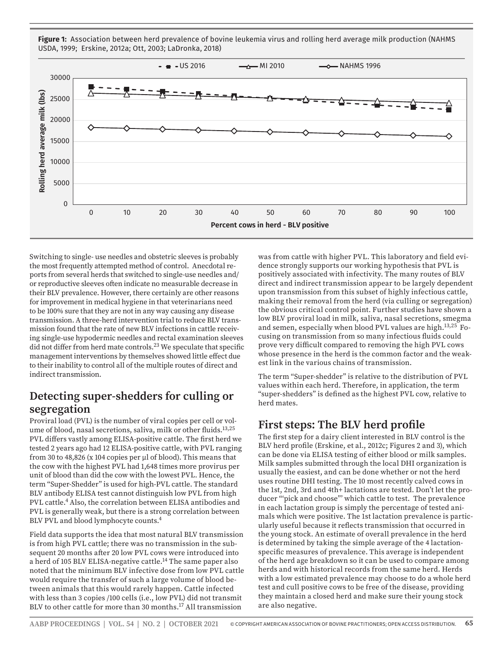**Figure 1:** Association between herd prevalence of bovine leukemia virus and rolling herd average milk production (NAHMS USDA, 1999; Erskine, 2012a; Ott, 2003; LaDronka, 2018)



Switching to single- use needles and obstetric sleeves is probably the most frequently attempted method of control. Anecdotal reports from several herds that switched to single-use needles and/ or reproductive sleeves often indicate no measurable decrease in their BLV prevalence. However, there certainly are other reasons for improvement in medical hygiene in that veterinarians need to be 100% sure that they are not in any way causing any disease transmission. A three-herd intervention trial to reduce BLV transmission found that the rate of new BLV infections in cattle receiving single-use hypodermic needles and rectal examination sleeves did not differ from herd mate controls.<sup>23</sup> We speculate that specific management interventions by themselves showed little effect due to their inability to control all of the multiple routes of direct and indirect transmission.

## **Detecting super-shedders for culling or segregation**

Proviral load (PVL) is the number of viral copies per cell or volume of blood, nasal secretions, saliva, milk or other fluids.<sup>13,25</sup> PVL differs vastly among ELISA-positive cattle. The first herd we tested 2 years ago had 12 ELISA-positive cattle, with PVL ranging from 30 to 48,826 (x 104 copies per μl of blood). This means that the cow with the highest PVL had 1,648 times more provirus per unit of blood than did the cow with the lowest PVL. Hence, the term "Super-Shedder" is used for high-PVL cattle. The standard BLV antibody ELISA test cannot distinguish low PVL from high PVL cattle.<sup>4</sup> Also, the correlation between ELISA antibodies and PVL is generally weak, but there is a strong correlation between BLV PVL and blood lymphocyte counts.<sup>4</sup>

Field data supports the idea that most natural BLV transmission is from high PVL cattle; there was no transmission in the subsequent 20 months after 20 low PVL cows were introduced into a herd of 105 BLV ELISA-negative cattle.14 The same paper also noted that the minimum BLV infective dose from low PVL cattle would require the transfer of such a large volume of blood between animals that this would rarely happen. Cattle infected with less than 3 copies /100 cells (i.e., low PVL) did not transmit BLV to other cattle for more than 30 months.<sup>17</sup> All transmission

was from cattle with higher PVL. This laboratory and field evidence strongly supports our working hypothesis that PVL is positively associated with infectivity. The many routes of BLV direct and indirect transmission appear to be largely dependent upon transmission from this subset of highly infectious cattle, making their removal from the herd (via culling or segregation) the obvious critical control point. Further studies have shown a low BLV proviral load in milk, saliva, nasal secretions, smegma and semen, especially when blood PVL values are high.<sup>13,25</sup> Focusing on transmission from so many infectious fluids could prove very difficult compared to removing the high PVL cows whose presence in the herd is the common factor and the weakest link in the various chains of transmission.

The term "Super-shedder" is relative to the distribution of PVL values within each herd. Therefore, in application, the term "super-shedders" is defined as the highest PVL cow, relative to herd mates.

## **First steps: The BLV herd profile**

The first step for a dairy client interested in BLV control is the BLV herd profile (Erskine, et al., 2012c; Figures 2 and 3), which can be done via ELISA testing of either blood or milk samples. Milk samples submitted through the local DHI organization is usually the easiest, and can be done whether or not the herd uses routine DHI testing. The 10 most recently calved cows in the 1st, 2nd, 3rd and 4th+ lactations are tested. Don't let the producer "'pick and choose"' which cattle to test. The prevalence in each lactation group is simply the percentage of tested animals which were positive. The 1st lactation prevalence is particularly useful because it reflects transmission that occurred in the young stock. An estimate of overall prevalence in the herd is determined by taking the simple average of the 4 lactationspecific measures of prevalence. This average is independent of the herd age breakdown so it can be used to compare among herds and with historical records from the same herd. Herds with a low estimated prevalence may choose to do a whole herd test and cull positive cows to be free of the disease, providing they maintain a closed herd and make sure their young stock are also negative.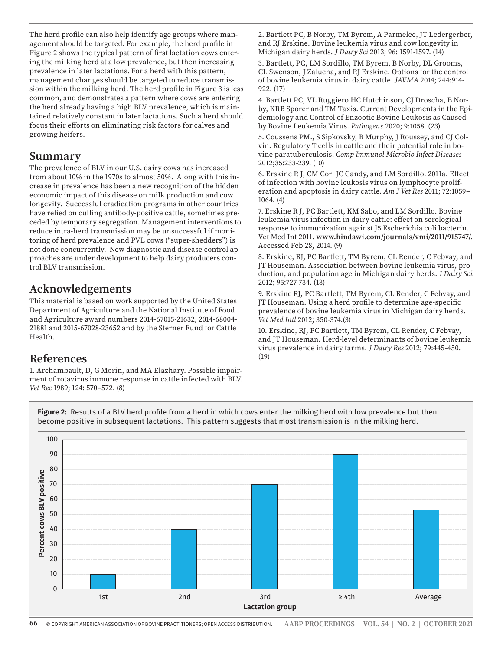The herd profile can also help identify age groups where management should be targeted. For example, the herd profile in Figure 2 shows the typical pattern of first lactation cows entering the milking herd at a low prevalence, but then increasing prevalence in later lactations. For a herd with this pattern, management changes should be targeted to reduce transmission within the milking herd. The herd profile in Figure 3 is less common, and demonstrates a pattern where cows are entering the herd already having a high BLV prevalence, which is maintained relatively constant in later lactations. Such a herd should focus their efforts on eliminating risk factors for calves and growing heifers.

#### **Summary**

The prevalence of BLV in our U.S. dairy cows has increased from about 10% in the 1970s to almost 50%. Along with this increase in prevalence has been a new recognition of the hidden economic impact of this disease on milk production and cow longevity. Successful eradication programs in other countries have relied on culling antibody-positive cattle, sometimes preceded by temporary segregation. Management interventions to reduce intra-herd transmission may be unsuccessful if monitoring of herd prevalence and PVL cows ("super-shedders") is not done concurrently. New diagnostic and disease control approaches are under development to help dairy producers control BLV transmission.

#### **Acknowledgements**

This material is based on work supported by the United States Department of Agriculture and the National Institute of Food and Agriculture award numbers 2014-67015-21632, 2014-68004- 21881 and 2015-67028-23652 and by the Sterner Fund for Cattle Health.

#### **References**

1. Archambault, D, G Morin, and MA Elazhary. Possible impairment of rotavirus immune response in cattle infected with BLV. *Vet Rec* 1989; 124: 570–572. (8)

2. Bartlett PC, B Norby, TM Byrem, A Parmelee, JT Ledergerber, and RJ Erskine. Bovine leukemia virus and cow longevity in Michigan dairy herds. *J Dairy Sci* 2013; 96: 1591-1597. (14)

3. Bartlett, PC, LM Sordillo, TM Byrem, B Norby, DL Grooms, CL Swenson, J Zalucha, and RJ Erskine. Options for the control of bovine leukemia virus in dairy cattle. *JAVMA* 2014; 244:914- 922. (17)

4. Bartlett PC, VL Ruggiero HC Hutchinson, CJ Droscha, B Norby, KRB Sporer and TM Taxis. Current Developments in the Epidemiology and Control of Enzootic Bovine Leukosis as Caused by Bovine Leukemia Virus. *Pathogens*.2020; 9:1058. (23)

5. Coussens PM., S Sipkovsky, B Murphy, J Roussey, and CJ Colvin. Regulatory T cells in cattle and their potential role in bovine paratuberculosis. *Comp Immunol Microbio Infect Diseases* 2012;35:233-239. (10)

6. Erskine R J, CM Corl JC Gandy, and LM Sordillo. 2011a. Effect of infection with bovine leukosis virus on lymphocyte proliferation and apoptosis in dairy cattle. *Am J Vet Res* 2011; 72:1059– 1064. (4)

7. Erskine R J, PC Bartlett, KM Sabo, and LM Sordillo. Bovine leukemia virus infection in dairy cattle: effect on serological response to immunization against J5 Escherichia coli bacterin. Vet Med Int 2011. **www.hindawi.com/journals/vmi/2011/915747/**. Accessed Feb 28, 2014. (9)

8. Erskine, RJ, PC Bartlett, TM Byrem, CL Render, C Febvay, and JT Houseman. Association between bovine leukemia virus, production, and population age in Michigan dairy herds. *J Dairy Sci*  2012; 95:727-734. (13)

9. Erskine RJ, PC Bartlett, TM Byrem, CL Render, C Febvay, and JT Houseman. Using a herd profile to determine age-specific prevalence of bovine leukemia virus in Michigan dairy herds. *Vet Med Intl* 2012; 350-374.(3)

10. Erskine, RJ, PC Bartlett, TM Byrem, CL Render, C Febvay, and JT Houseman. Herd-level determinants of bovine leukemia virus prevalence in dairy farms. *J Dairy Res* 2012; 79:445-450. (19)



**Figure 2:** Results of a BLV herd profile from a herd in which cows enter the milking herd with low prevalence but then become positive in subsequent lactations. This pattern suggests that most transmission is in the milking herd.